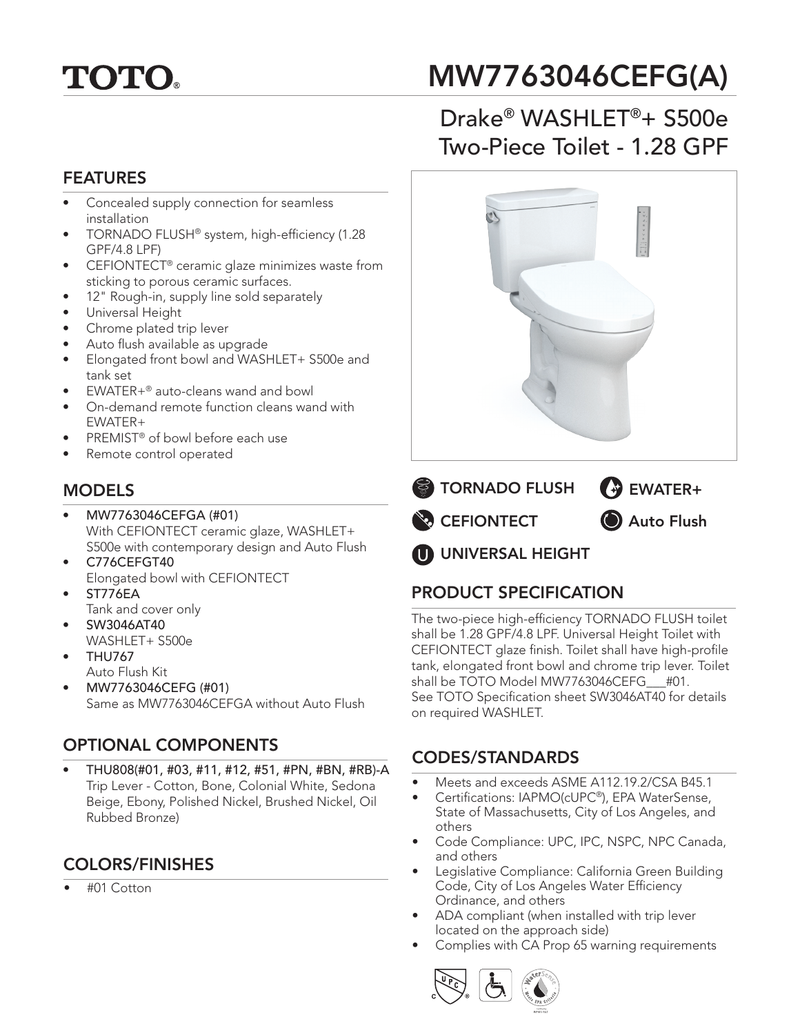# **TOTO.**

## MW7763046CEFG(A)

## Drake® WASHLET®+ S500e Two-Piece Toilet - 1.28 GPF

#### FEATURES

- Concealed supply connection for seamless installation
- TORNADO FLUSH® system, high-efficiency (1.28 GPF/4.8 LPF)
- CEFIONTECT® ceramic glaze minimizes waste from sticking to porous ceramic surfaces.
- 12" Rough-in, supply line sold separately
- Universal Height
- Chrome plated trip lever
- Auto flush available as upgrade
- Elongated front bowl and WASHLET+ S500e and tank set
- EWATER+® auto-cleans wand and bowl
- On-demand remote function cleans wand with EWATER+
- PREMIST<sup>®</sup> of bowl before each use
- Remote control operated

#### MODELS

- MW7763046CEFGA (#01) With CEFIONTECT ceramic glaze, WASHLET+ S500e with contemporary design and Auto Flush
- C776CEFGT40 Elongated bowl with CEFIONTECT
- ST776EA
- Tank and cover only • SW3046AT40
- WASHLET+ S500e
- THU767 Auto Flush Kit
- MW7763046CEFG (#01) Same as MW7763046CEFGA without Auto Flush

## OPTIONAL COMPONENTS

• THU808(#01, #03, #11, #12, #51, #PN, #BN, #RB)-A Trip Lever - Cotton, Bone, Colonial White, Sedona Beige, Ebony, Polished Nickel, Brushed Nickel, Oil Rubbed Bronze)

### COLORS/FINISHES

• #01 Cotton





## PRODUCT SPECIFICATION

The two-piece high-efficiency TORNADO FLUSH toilet shall be 1.28 GPF/4.8 LPF. Universal Height Toilet with CEFIONTECT glaze finish. Toilet shall have high-profile tank, elongated front bowl and chrome trip lever. Toilet shall be TOTO Model MW7763046CEFG\_\_\_#01. See TOTO Specification sheet SW3046AT40 for details on required WASHLET.

### CODES/STANDARDS

- Meets and exceeds ASME A112.19.2/CSA B45.1
- Certifications: IAPMO(cUPC®), EPA WaterSense, State of Massachusetts, City of Los Angeles, and others
- Code Compliance: UPC, IPC, NSPC, NPC Canada, and others
- Legislative Compliance: California Green Building Code, City of Los Angeles Water Efficiency Ordinance, and others
- ADA compliant (when installed with trip lever located on the approach side)
- Complies with CA Prop 65 warning requirements